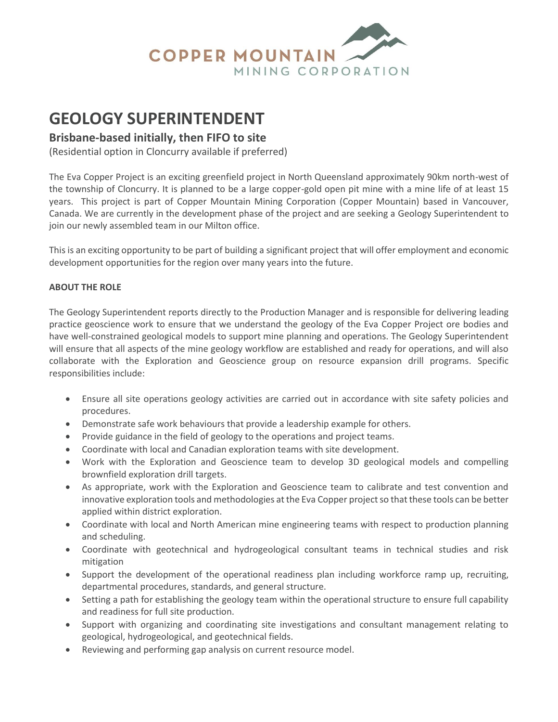

# **GEOLOGY SUPERINTENDENT**

# **Brisbane-based initially, then FIFO to site**

(Residential option in Cloncurry available if preferred)

The Eva Copper Project is an exciting greenfield project in North Queensland approximately 90km north-west of the township of Cloncurry. It is planned to be a large copper-gold open pit mine with a mine life of at least 15 years. This project is part of Copper Mountain Mining Corporation (Copper Mountain) based in Vancouver, Canada. We are currently in the development phase of the project and are seeking a Geology Superintendent to join our newly assembled team in our Milton office.

This is an exciting opportunity to be part of building a significant project that will offer employment and economic development opportunities for the region over many years into the future.

## **ABOUT THE ROLE**

The Geology Superintendent reports directly to the Production Manager and is responsible for delivering leading practice geoscience work to ensure that we understand the geology of the Eva Copper Project ore bodies and have well-constrained geological models to support mine planning and operations. The Geology Superintendent will ensure that all aspects of the mine geology workflow are established and ready for operations, and will also collaborate with the Exploration and Geoscience group on resource expansion drill programs. Specific responsibilities include:

- Ensure all site operations geology activities are carried out in accordance with site safety policies and procedures.
- Demonstrate safe work behaviours that provide a leadership example for others.
- Provide guidance in the field of geology to the operations and project teams.
- Coordinate with local and Canadian exploration teams with site development.
- Work with the Exploration and Geoscience team to develop 3D geological models and compelling brownfield exploration drill targets.
- As appropriate, work with the Exploration and Geoscience team to calibrate and test convention and innovative exploration tools and methodologies at the Eva Copper project so that these tools can be better applied within district exploration.
- Coordinate with local and North American mine engineering teams with respect to production planning and scheduling.
- Coordinate with geotechnical and hydrogeological consultant teams in technical studies and risk mitigation
- Support the development of the operational readiness plan including workforce ramp up, recruiting, departmental procedures, standards, and general structure.
- Setting a path for establishing the geology team within the operational structure to ensure full capability and readiness for full site production.
- Support with organizing and coordinating site investigations and consultant management relating to geological, hydrogeological, and geotechnical fields.
- Reviewing and performing gap analysis on current resource model.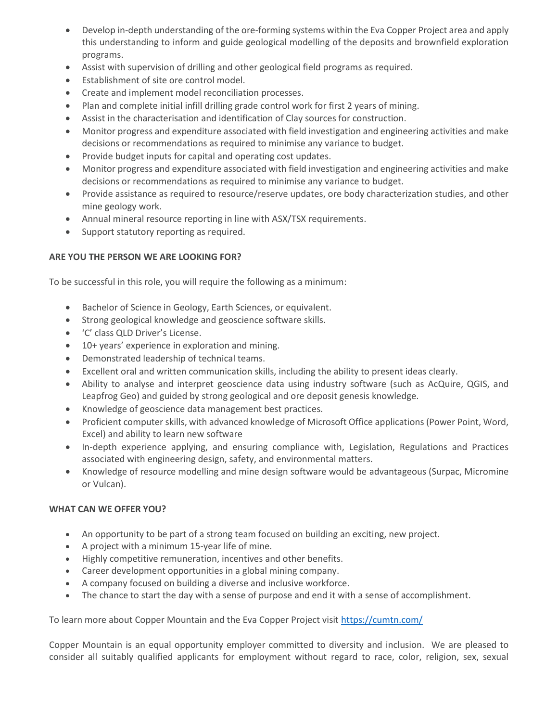- Develop in-depth understanding of the ore-forming systems within the Eva Copper Project area and apply this understanding to inform and guide geological modelling of the deposits and brownfield exploration programs.
- Assist with supervision of drilling and other geological field programs as required.
- Establishment of site ore control model.
- Create and implement model reconciliation processes.
- Plan and complete initial infill drilling grade control work for first 2 years of mining.
- Assist in the characterisation and identification of Clay sources for construction.
- Monitor progress and expenditure associated with field investigation and engineering activities and make decisions or recommendations as required to minimise any variance to budget.
- Provide budget inputs for capital and operating cost updates.
- Monitor progress and expenditure associated with field investigation and engineering activities and make decisions or recommendations as required to minimise any variance to budget.
- Provide assistance as required to resource/reserve updates, ore body characterization studies, and other mine geology work.
- Annual mineral resource reporting in line with ASX/TSX requirements.
- Support statutory reporting as required.

## **ARE YOU THE PERSON WE ARE LOOKING FOR?**

To be successful in this role, you will require the following as a minimum:

- Bachelor of Science in Geology, Earth Sciences, or equivalent.
- Strong geological knowledge and geoscience software skills.
- 'C' class QLD Driver's License.
- 10+ years' experience in exploration and mining.
- Demonstrated leadership of technical teams.
- Excellent oral and written communication skills, including the ability to present ideas clearly.
- Ability to analyse and interpret geoscience data using industry software (such as AcQuire, QGIS, and Leapfrog Geo) and guided by strong geological and ore deposit genesis knowledge.
- Knowledge of geoscience data management best practices.
- Proficient computer skills, with advanced knowledge of Microsoft Office applications (Power Point, Word, Excel) and ability to learn new software
- In-depth experience applying, and ensuring compliance with, Legislation, Regulations and Practices associated with engineering design, safety, and environmental matters.
- Knowledge of resource modelling and mine design software would be advantageous (Surpac, Micromine or Vulcan).

#### **WHAT CAN WE OFFER YOU?**

- An opportunity to be part of a strong team focused on building an exciting, new project.
- A project with a minimum 15-year life of mine.
- Highly competitive remuneration, incentives and other benefits.
- Career development opportunities in a global mining company.
- A company focused on building a diverse and inclusive workforce.
- The chance to start the day with a sense of purpose and end it with a sense of accomplishment.

To learn more about Copper Mountain and the Eva Copper Project visit <https://cumtn.com/>

Copper Mountain is an equal opportunity employer committed to diversity and inclusion. We are pleased to consider all suitably qualified applicants for employment without regard to race, color, religion, sex, sexual